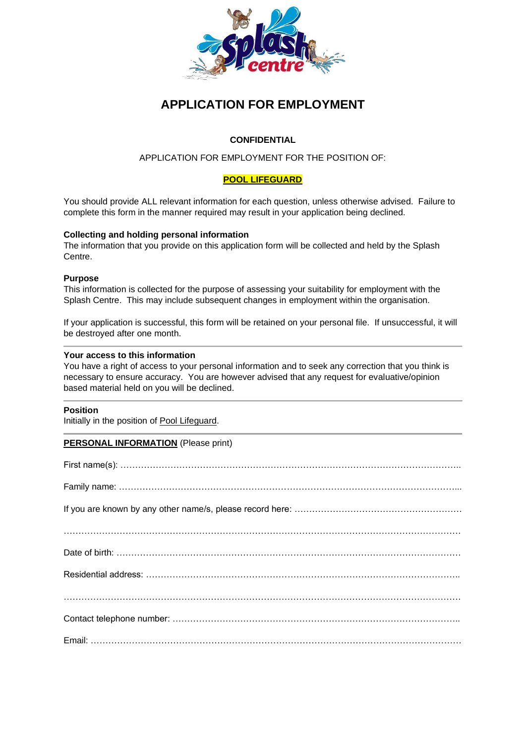

# **APPLICATION FOR EMPLOYMENT**

# **CONFIDENTIAL**

# APPLICATION FOR EMPLOYMENT FOR THE POSITION OF:

# **POOL LIFEGUARD**

You should provide ALL relevant information for each question, unless otherwise advised. Failure to complete this form in the manner required may result in your application being declined.

## **Collecting and holding personal information**

The information that you provide on this application form will be collected and held by the Splash Centre.

### **Purpose**

This information is collected for the purpose of assessing your suitability for employment with the Splash Centre. This may include subsequent changes in employment within the organisation.

If your application is successful, this form will be retained on your personal file. If unsuccessful, it will be destroyed after one month.

### **Your access to this information**

You have a right of access to your personal information and to seek any correction that you think is necessary to ensure accuracy. You are however advised that any request for evaluative/opinion based material held on you will be declined.

#### **Position**

Initially in the position of Pool Lifeguard.

## **PERSONAL INFORMATION** (Please print)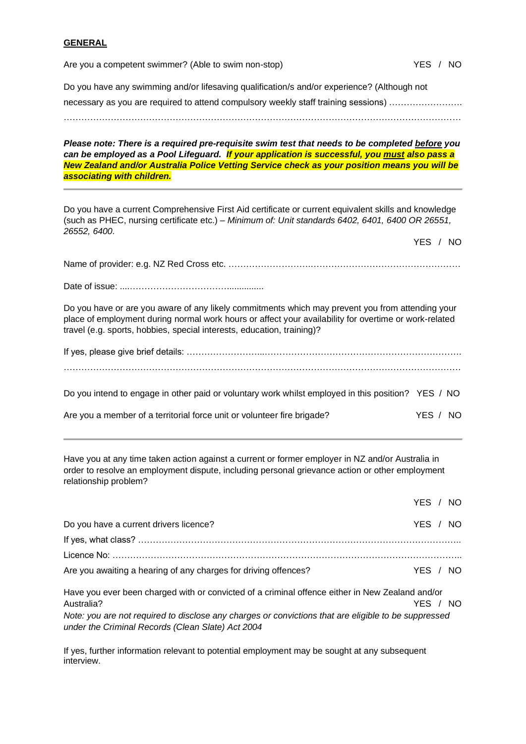#### **GENERAL**

| Are you a competent swimmer? (Able to swim non-stop) | YES / NO |
|------------------------------------------------------|----------|
|                                                      |          |

Do you have any swimming and/or lifesaving qualification/s and/or experience? (Although not

necessary as you are required to attend compulsory weekly staff training sessions) …………………….

………………………………………………………………………………………………………………………

*Please note: There is a required pre-requisite swim test that needs to be completed before you*  can be employed as a Pool Lifeguard. **If your application is successful, you must also pass a** *New Zealand and/or Australia Police Vetting Service check as your position means you will be associating with children.*

Do you have a current Comprehensive First Aid certificate or current equivalent skills and knowledge (such as PHEC, nursing certificate etc.) – *Minimum of: Unit standards 6402, 6401, 6400 OR 26551, 26552, 6400.*

YES / NO

Name of provider: e.g. NZ Red Cross etc. ……………………….……………………………………………

Date of issue: ....……………………………...............

Do you have or are you aware of any likely commitments which may prevent you from attending your place of employment during normal work hours or affect your availability for overtime or work-related travel (e.g. sports, hobbies, special interests, education, training)?

Do you intend to engage in other paid or voluntary work whilst employed in this position? YES / NO

| Are you a member of a territorial force unit or volunteer fire brigade? | YES / NO |
|-------------------------------------------------------------------------|----------|
|-------------------------------------------------------------------------|----------|

Have you at any time taken action against a current or former employer in NZ and/or Australia in order to resolve an employment dispute, including personal grievance action or other employment relationship problem?

|                                                                 | YES / NO |  |
|-----------------------------------------------------------------|----------|--|
| Do you have a current drivers licence?                          | YES / NO |  |
|                                                                 |          |  |
|                                                                 |          |  |
| Are you awaiting a hearing of any charges for driving offences? | YES / NO |  |

Have you ever been charged with or convicted of a criminal offence either in New Zealand and/or Australia? The Contract of the Contract of the Contract of the Contract of the Contract of the Contract of the Contract of the Contract of the Contract of the Contract of the Contract of the Contract of the Contract of the *Note: you are not required to disclose any charges or convictions that are eligible to be suppressed under the Criminal Records (Clean Slate) Act 2004*

If yes, further information relevant to potential employment may be sought at any subsequent interview.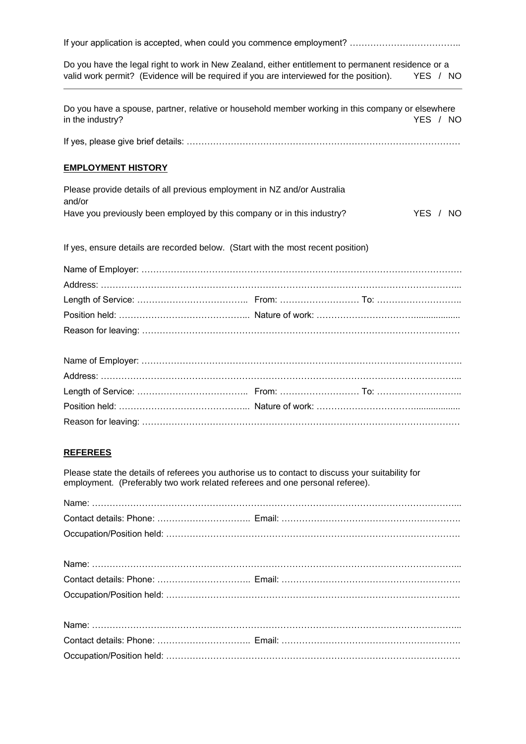Do you have the legal right to work in New Zealand, either entitlement to permanent residence or a valid work permit? (Evidence will be required if you are interviewed for the position). YES / NO

Do you have a spouse, partner, relative or household member working in this company or elsewhere in the industry? The YES All the industry?

If yes, please give brief details: …………………………………………………………………………………

### **EMPLOYMENT HISTORY**

| Please provide details of all previous employment in NZ and/or Australia |      |     |
|--------------------------------------------------------------------------|------|-----|
| and/or                                                                   |      |     |
| Have you previously been employed by this company or in this industry?   | YES. | NO. |

If yes, ensure details are recorded below. (Start with the most recent position)

# **REFEREES**

Please state the details of referees you authorise us to contact to discuss your suitability for employment. (Preferably two work related referees and one personal referee).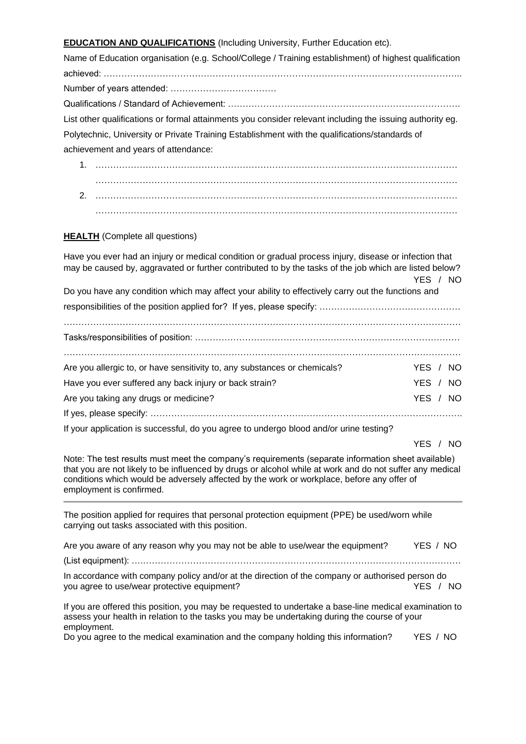# **EDUCATION AND QUALIFICATIONS** (Including University, Further Education etc).

Name of Education organisation (e.g. School/College / Training establishment) of highest qualification achieved: ………………………………………………………………………………………………………….. Number of years attended: ……………………………… Qualifications / Standard of Achievement: ……………………………………………………………………. List other qualifications or formal attainments you consider relevant including the issuing authority eg. Polytechnic, University or Private Training Establishment with the qualifications/standards of achievement and years of attendance:

1. …………………………………………………………………………………………………………… …………………………………………………………………………………………………………… 2. …………………………………………………………………………………………………………… ……………………………………………………………………………………………………………

### **HEALTH** (Complete all questions)

Have you ever had an injury or medical condition or gradual process injury, disease or infection that may be caused by, aggravated or further contributed to by the tasks of the job which are listed below? YES / NO Do you have any condition which may affect your ability to effectively carry out the functions and responsibilities of the position applied for? If yes, please specify: ………………………………………… ……………………………………………………………………………………………………………………… Tasks/responsibilities of position: ……………………………………………………………………………… ……………………………………………………………………………………………………………………… Are you allergic to, or have sensitivity to, any substances or chemicals? YES / NO Have you ever suffered any back injury or back strain? The VES / NO Are you taking any drugs or medicine? The state of the state of the state of the SNC XII and the SNC XII and the SNC XII and the SNC XII and the SNC XII and the SNC XII and the SNC XII and the SNC XII and the SNC XII and t If yes, please specify: …………………………………………………………………………………………….

If your application is successful, do you agree to undergo blood and/or urine testing?

#### YES / NO

Note: The test results must meet the company's requirements (separate information sheet available) that you are not likely to be influenced by drugs or alcohol while at work and do not suffer any medical conditions which would be adversely affected by the work or workplace, before any offer of employment is confirmed.

The position applied for requires that personal protection equipment (PPE) be used/worn while carrying out tasks associated with this position.

| Are you aware of any reason why you may not be able to use/wear the equipment?                                                                                                                                        | YES / NO |  |
|-----------------------------------------------------------------------------------------------------------------------------------------------------------------------------------------------------------------------|----------|--|
|                                                                                                                                                                                                                       |          |  |
| In accordance with company policy and/or at the direction of the company or authorised person do<br>you agree to use/wear protective equipment?                                                                       | YES / NO |  |
| If you are offered this position, you may be requested to undertake a base-line medical examination to<br>assess your health in relation to the tasks you may be undertaking during the course of your<br>employment. |          |  |

Do you agree to the medical examination and the company holding this information? YES / NO